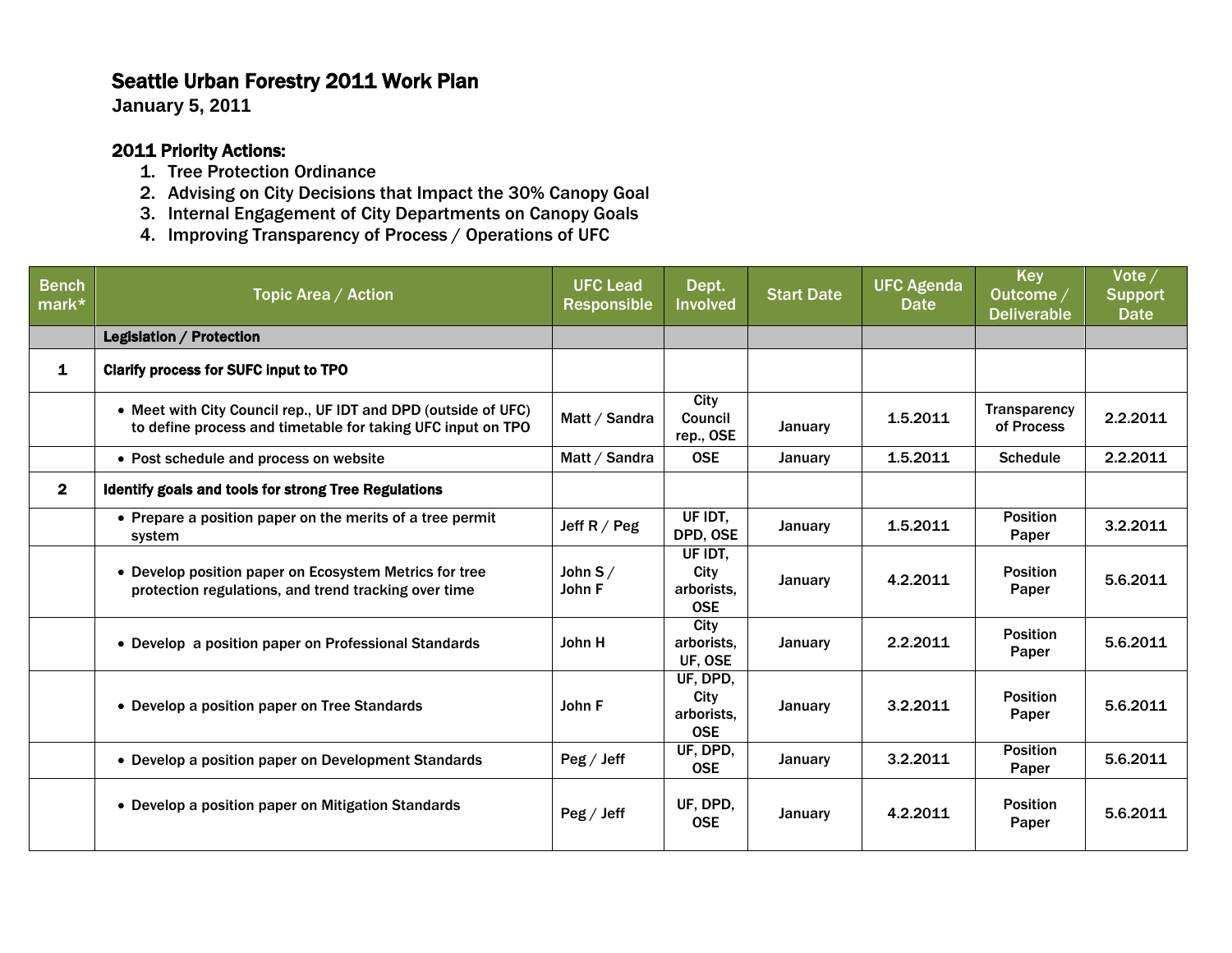## Seattle Urban Forestry 2011 Work Plan

**January 5, 2011**

## 2011 Priority Actions:

- 1. Tree Protection Ordinance
- 2. Advising on City Decisions that Impact the 30% Canopy Goal
- 3. Internal Engagement of City Departments on Canopy Goals
- 4. Improving Transparency of Process / Operations of UFC

| <b>Bench</b><br>mark* | Topic Area / Action                                                                                                           | <b>UFC Lead</b><br><b>Responsible</b> | Dept.<br><b>Involved</b>                     | <b>Start Date</b> | <b>UFC Agenda</b><br>Date | <b>Key</b><br>Outcome /<br><b>Deliverable</b> | Vote/<br><b>Support</b><br><b>Date</b> |
|-----------------------|-------------------------------------------------------------------------------------------------------------------------------|---------------------------------------|----------------------------------------------|-------------------|---------------------------|-----------------------------------------------|----------------------------------------|
|                       | Legislation / Protection                                                                                                      |                                       |                                              |                   |                           |                                               |                                        |
| 1                     | <b>Clarify process for SUFC input to TPO</b>                                                                                  |                                       |                                              |                   |                           |                                               |                                        |
|                       | • Meet with City Council rep., UF IDT and DPD (outside of UFC)<br>to define process and timetable for taking UFC input on TPO | Matt / Sandra                         | City<br><b>Council</b><br>rep., OSE          | January           | 1.5.2011                  | <b>Transparency</b><br>of Process             | 2.2.2011                               |
|                       | • Post schedule and process on website                                                                                        | Matt / Sandra                         | <b>OSE</b>                                   | January           | 1.5.2011                  | <b>Schedule</b>                               | 2.2.2011                               |
| $\mathbf{2}$          | Identify goals and tools for strong Tree Regulations                                                                          |                                       |                                              |                   |                           |                                               |                                        |
|                       | • Prepare a position paper on the merits of a tree permit<br>system                                                           | Jeff $R / Peg$                        | UF IDT.<br>DPD, OSE                          | January           | 1.5.2011                  | <b>Position</b><br>Paper                      | 3.2.2011                               |
|                       | • Develop position paper on Ecosystem Metrics for tree<br>protection regulations, and trend tracking over time                | John $S/$<br>John F                   | UF IDT,<br>City<br>arborists,<br><b>OSE</b>  | January           | 4.2.2011                  | <b>Position</b><br>Paper                      | 5.6.2011                               |
|                       | • Develop a position paper on Professional Standards                                                                          | John H                                | City<br>arborists.<br>UF, OSE                | January           | 2.2.2011                  | <b>Position</b><br>Paper                      | 5.6.2011                               |
|                       | • Develop a position paper on Tree Standards                                                                                  | John F                                | UF, DPD,<br>City<br>arborists.<br><b>OSE</b> | January           | 3.2.2011                  | <b>Position</b><br>Paper                      | 5.6.2011                               |
|                       | • Develop a position paper on Development Standards                                                                           | $\text{Peg}/\text{Jeff}$              | UF, DPD,<br><b>OSE</b>                       | January           | 3.2.2011                  | <b>Position</b><br>Paper                      | 5.6.2011                               |
|                       | • Develop a position paper on Mitigation Standards                                                                            | $\text{Peg}/\text{Jeff}$              | UF, DPD,<br><b>OSE</b>                       | January           | 4.2.2011                  | <b>Position</b><br>Paper                      | 5.6.2011                               |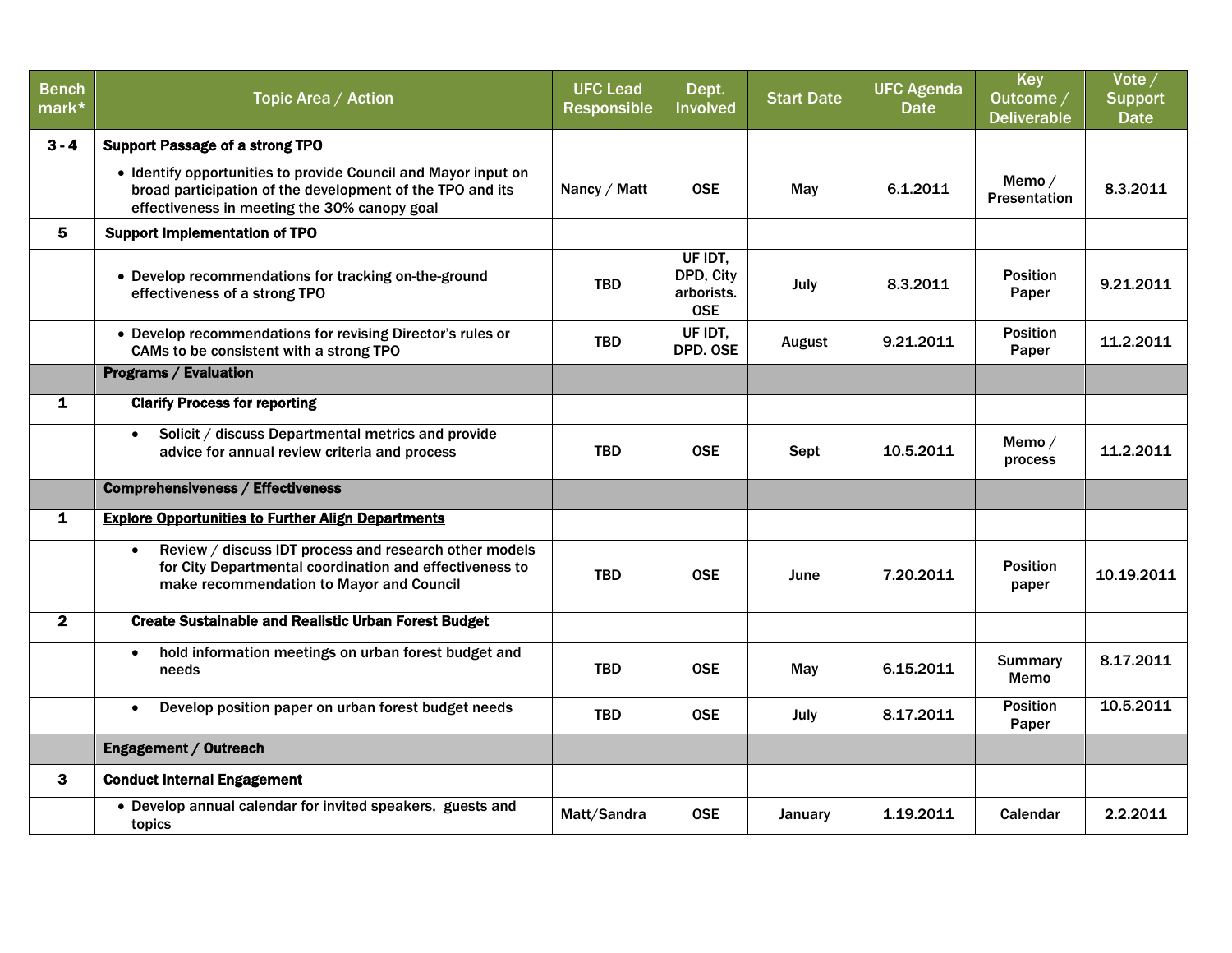| <b>Bench</b><br>mark* | Topic Area / Action                                                                                                                                                         | <b>UFC Lead</b><br><b>Responsible</b> | Dept.<br><b>Involved</b>                         | <b>Start Date</b> | <b>UFC Agenda</b><br><b>Date</b> | <b>Key</b><br>Outcome /<br><b>Deliverable</b> | Vote $/$<br><b>Support</b><br><b>Date</b> |
|-----------------------|-----------------------------------------------------------------------------------------------------------------------------------------------------------------------------|---------------------------------------|--------------------------------------------------|-------------------|----------------------------------|-----------------------------------------------|-------------------------------------------|
| $3 - 4$               | <b>Support Passage of a strong TPO</b>                                                                                                                                      |                                       |                                                  |                   |                                  |                                               |                                           |
|                       | • Identify opportunities to provide Council and Mayor input on<br>broad participation of the development of the TPO and its<br>effectiveness in meeting the 30% canopy goal | Nancy / Matt                          | <b>OSE</b>                                       | May               | 6.1.2011                         | Memo/<br><b>Presentation</b>                  | 8.3.2011                                  |
| 5                     | <b>Support Implementation of TPO</b>                                                                                                                                        |                                       |                                                  |                   |                                  |                                               |                                           |
|                       | • Develop recommendations for tracking on-the-ground<br>effectiveness of a strong TPO                                                                                       | <b>TBD</b>                            | UF IDT.<br>DPD, City<br>arborists.<br><b>OSE</b> | July              | 8.3.2011                         | <b>Position</b><br>Paper                      | 9.21.2011                                 |
|                       | • Develop recommendations for revising Director's rules or<br>CAMs to be consistent with a strong TPO                                                                       | <b>TBD</b>                            | UF IDT.<br>DPD. OSE                              | <b>August</b>     | 9.21.2011                        | <b>Position</b><br>Paper                      | 11.2.2011                                 |
|                       | <b>Programs / Evaluation</b>                                                                                                                                                |                                       |                                                  |                   |                                  |                                               |                                           |
| $\mathbf{1}$          | <b>Clarify Process for reporting</b>                                                                                                                                        |                                       |                                                  |                   |                                  |                                               |                                           |
|                       | Solicit / discuss Departmental metrics and provide<br>$\bullet$<br>advice for annual review criteria and process                                                            | <b>TBD</b>                            | <b>OSE</b>                                       | Sept              | 10.5.2011                        | Memo/<br>process                              | 11.2.2011                                 |
|                       | <b>Comprehensiveness / Effectiveness</b>                                                                                                                                    |                                       |                                                  |                   |                                  |                                               |                                           |
| $\mathbf{1}$          | <b>Explore Opportunities to Further Align Departments</b>                                                                                                                   |                                       |                                                  |                   |                                  |                                               |                                           |
|                       | Review / discuss IDT process and research other models<br>for City Departmental coordination and effectiveness to<br>make recommendation to Mayor and Council               | <b>TBD</b>                            | <b>OSE</b>                                       | June              | 7.20.2011                        | <b>Position</b><br>paper                      | 10.19.2011                                |
| $\mathbf{2}$          | <b>Create Sustainable and Realistic Urban Forest Budget</b>                                                                                                                 |                                       |                                                  |                   |                                  |                                               |                                           |
|                       | hold information meetings on urban forest budget and<br>$\bullet$<br>needs                                                                                                  | <b>TBD</b>                            | <b>OSE</b>                                       | May               | 6.15.2011                        | <b>Summary</b><br>Memo                        | 8.17.2011                                 |
|                       | Develop position paper on urban forest budget needs<br>$\bullet$                                                                                                            | <b>TBD</b>                            | <b>OSE</b>                                       | July              | 8.17.2011                        | <b>Position</b><br>Paper                      | 10.5.2011                                 |
|                       | Engagement / Outreach                                                                                                                                                       |                                       |                                                  |                   |                                  |                                               |                                           |
| 3                     | <b>Conduct Internal Engagement</b>                                                                                                                                          |                                       |                                                  |                   |                                  |                                               |                                           |
|                       | • Develop annual calendar for invited speakers, guests and<br>topics                                                                                                        | Matt/Sandra                           | <b>OSE</b>                                       | January           | 1.19.2011                        | Calendar                                      | 2.2.2011                                  |